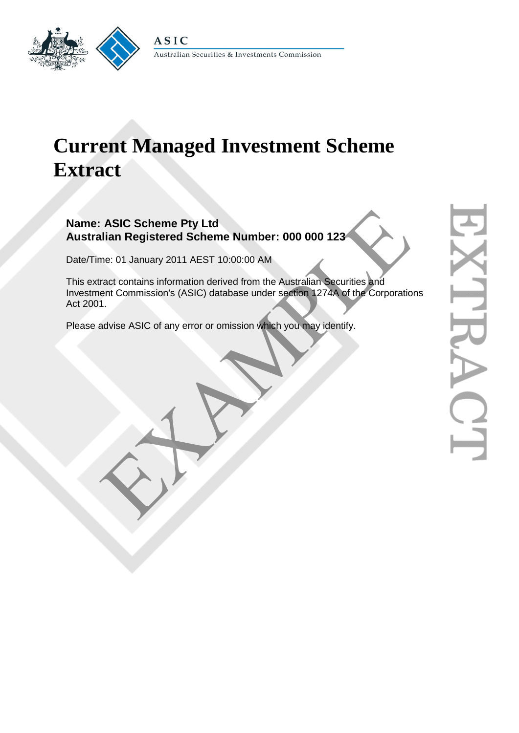

#### Australian Securities & Investments Commission

# **Current Managed Investment Scheme Extract**

## **Name: ASIC Scheme Pty Ltd Australian Registered Scheme Number: 000 000 123**

Date/Time: 01 January 2011 AEST 10:00:00 AM

This extract contains information derived from the Australian Securities and Investment Commission's (ASIC) database under section 1274A of the Corporations Act 2001. ASIC Scheme Pty Ltd<br>
Ilian Registered Scheme Number: 000 000 123<br>
me: 01 January 2011 AEST 10:00:00 AM<br>
Fract contains information derived from the Australian Securities and<br>
ent Commission's (ASIC) database under section

Please advise ASIC of any error or omission which you may identify.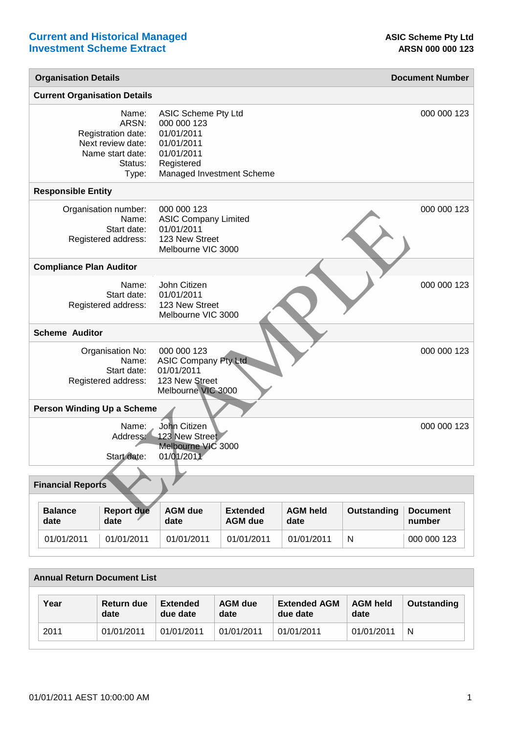| <b>Organisation Details</b>                                                                       |                                                                                                                                |                                   |                         |              | <b>Document Number</b>    |  |
|---------------------------------------------------------------------------------------------------|--------------------------------------------------------------------------------------------------------------------------------|-----------------------------------|-------------------------|--------------|---------------------------|--|
| <b>Current Organisation Details</b>                                                               |                                                                                                                                |                                   |                         |              |                           |  |
| Name:<br>ARSN:<br>Registration date:<br>Next review date:<br>Name start date:<br>Status:<br>Type: | <b>ASIC Scheme Pty Ltd</b><br>000 000 123<br>01/01/2011<br>01/01/2011<br>01/01/2011<br>Registered<br>Managed Investment Scheme |                                   |                         |              | 000 000 123               |  |
| <b>Responsible Entity</b>                                                                         |                                                                                                                                |                                   |                         |              |                           |  |
| Organisation number:<br>Name:<br>Start date:<br>Registered address:                               | 000 000 123<br><b>ASIC Company Limited</b><br>01/01/2011<br>123 New Street<br>Melbourne VIC 3000                               |                                   |                         |              | 000 000 123               |  |
| <b>Compliance Plan Auditor</b>                                                                    |                                                                                                                                |                                   |                         |              |                           |  |
| Name:<br>Start date:<br>Registered address:                                                       | John Citizen<br>01/01/2011<br>123 New Street<br>Melbourne VIC 3000                                                             |                                   |                         |              | 000 000 123               |  |
| <b>Scheme Auditor</b>                                                                             |                                                                                                                                |                                   |                         |              |                           |  |
| Organisation No:<br>Name:<br>Start date:<br>Registered address:                                   | 000 000 123<br><b>ASIC Company Pty Ltd</b><br>01/01/2011<br>123 New Street<br>Melbourne VIC 3000                               |                                   |                         |              | 000 000 123               |  |
| Person Winding Up a Scheme                                                                        |                                                                                                                                |                                   |                         |              |                           |  |
| Name:<br>Address:<br>Start date:                                                                  | John Citizen<br>123 New Street<br>Melbourne VIC 3000<br>01/01/2011                                                             |                                   |                         |              | 000 000 123               |  |
|                                                                                                   |                                                                                                                                |                                   |                         |              |                           |  |
| <b>Financial Reports</b>                                                                          |                                                                                                                                |                                   |                         |              |                           |  |
| <b>Report due</b><br><b>Balance</b><br>date<br>date                                               | <b>AGM due</b><br>date                                                                                                         | <b>Extended</b><br><b>AGM</b> due | <b>AGM held</b><br>date | Outstanding  | <b>Document</b><br>number |  |
| 01/01/2011<br>01/01/2011                                                                          | 01/01/2011                                                                                                                     | 01/01/2011                        | 01/01/2011              | $\mathsf{N}$ | 000 000 123               |  |

| <b>Annual Return Document List</b> |      |                    |                             |                        |                                 |                         |              |
|------------------------------------|------|--------------------|-----------------------------|------------------------|---------------------------------|-------------------------|--------------|
|                                    | Year | Return due<br>date | <b>Extended</b><br>due date | <b>AGM</b> due<br>date | <b>Extended AGM</b><br>due date | <b>AGM held</b><br>date | Outstanding  |
|                                    | 2011 | 01/01/2011         | 01/01/2011                  | 01/01/2011             | 01/01/2011                      | 01/01/2011              | <sup>N</sup> |